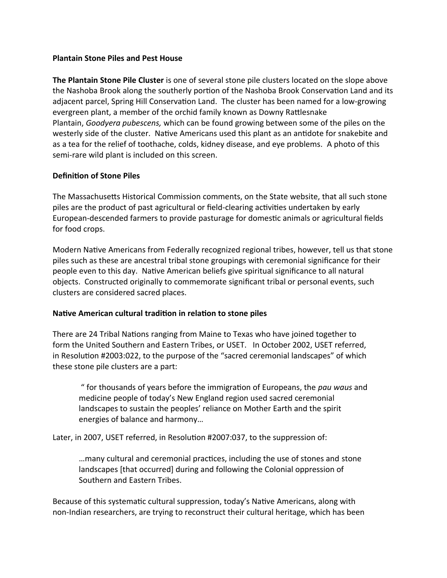### **Plantain Stone Piles and Pest House**

**The Plantain Stone Pile Cluster** is one of several stone pile clusters located on the slope above the Nashoba Brook along the southerly portion of the Nashoba Brook Conservation Land and its adjacent parcel, Spring Hill Conservation Land. The cluster has been named for a low-growing evergreen plant, a member of the orchid family known as Downy Rattlesnake Plantain, *Goodyera pubescens,* which can be found growing between some of the piles on the westerly side of the cluster. Native Americans used this plant as an antidote for snakebite and as a tea for the relief of toothache, colds, kidney disease, and eye problems. A photo of this semi-rare wild plant is included on this screen.

### **Definition of Stone Piles**

The Massachusetts Historical Commission comments, on the State website, that all such stone piles are the product of past agricultural or field-clearing activities undertaken by early European-descended farmers to provide pasturage for domestic animals or agricultural fields for food crops.

Modern Native Americans from Federally recognized regional tribes, however, tell us that stone piles such as these are ancestral tribal stone groupings with ceremonial significance for their people even to this day. Native American beliefs give spiritual significance to all natural objects. Constructed originally to commemorate significant tribal or personal events, such clusters are considered sacred places.

### **Native American cultural tradition in relation to stone piles**

There are 24 Tribal Nations ranging from Maine to Texas who have joined together to form the United Southern and Eastern Tribes, or USET. In October 2002, USET referred, in Resolution #2003:022, to the purpose of the "sacred ceremonial landscapes" of which these stone pile clusters are a part:

" for thousands of years before the immigration of Europeans, the *pau waus* and medicine people of today's New England region used sacred ceremonial landscapes to sustain the peoples' reliance on Mother Earth and the spirit energies of balance and harmony…

Later, in 2007, USET referred, in Resolution #2007:037, to the suppression of:

…many cultural and ceremonial practices, including the use of stones and stone landscapes [that occurred] during and following the Colonial oppression of Southern and Eastern Tribes.

Because of this systematic cultural suppression, today's Native Americans, along with non-Indian researchers, are trying to reconstruct their cultural heritage, which has been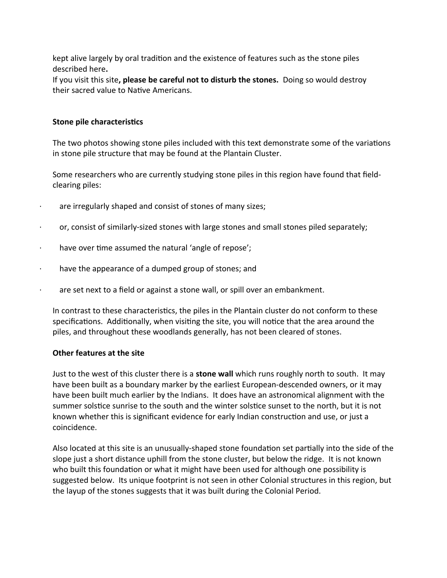kept alive largely by oral tradition and the existence of features such as the stone piles described here**.**

If you visit this site**, please be careful not to disturb the stones.** Doing so would destroy their sacred value to Native Americans.

#### **Stone pile characteristics**

The two photos showing stone piles included with this text demonstrate some of the variations in stone pile structure that may be found at the Plantain Cluster.

Some researchers who are currently studying stone piles in this region have found that fieldclearing piles:

- · are irregularly shaped and consist of stones of many sizes;
- · or, consist of similarly-sized stones with large stones and small stones piled separately;
- · have over time assumed the natural 'angle of repose';
- · have the appearance of a dumped group of stones; and
- · are set next to a field or against a stone wall, or spill over an embankment.

In contrast to these characteristics, the piles in the Plantain cluster do not conform to these specifications. Additionally, when visiting the site, you will notice that the area around the piles, and throughout these woodlands generally, has not been cleared of stones.

#### **Other features at the site**

Just to the west of this cluster there is a **stone wall** which runs roughly north to south. It may have been built as a boundary marker by the earliest European-descended owners, or it may have been built much earlier by the Indians. It does have an astronomical alignment with the summer solstice sunrise to the south and the winter solstice sunset to the north, but it is not known whether this is significant evidence for early Indian construction and use, or just a coincidence.

Also located at this site is an unusually-shaped stone foundation set partially into the side of the slope just a short distance uphill from the stone cluster, but below the ridge. It is not known who built this foundation or what it might have been used for although one possibility is suggested below. Its unique footprint is not seen in other Colonial structures in this region, but the layup of the stones suggests that it was built during the Colonial Period.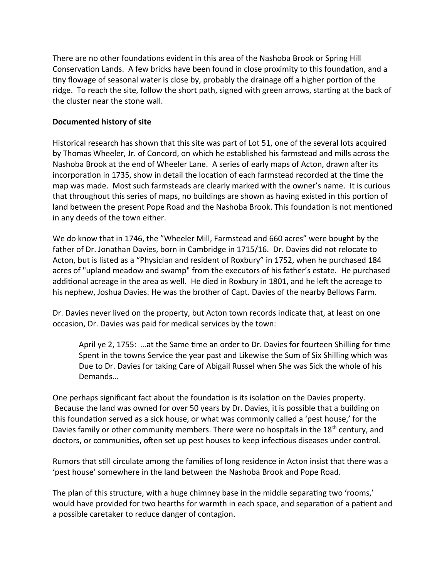There are no other foundations evident in this area of the Nashoba Brook or Spring Hill Conservation Lands. A few bricks have been found in close proximity to this foundation, and a tiny flowage of seasonal water is close by, probably the drainage off a higher portion of the ridge. To reach the site, follow the short path, signed with green arrows, starting at the back of the cluster near the stone wall.

## **Documented history of site**

Historical research has shown that this site was part of Lot 51, one of the several lots acquired by Thomas Wheeler, Jr. of Concord, on which he established his farmstead and mills across the Nashoba Brook at the end of Wheeler Lane. A series of early maps of Acton, drawn after its incorporation in 1735, show in detail the location of each farmstead recorded at the time the map was made. Most such farmsteads are clearly marked with the owner's name. It is curious that throughout this series of maps, no buildings are shown as having existed in this portion of land between the present Pope Road and the Nashoba Brook. This foundation is not mentioned in any deeds of the town either.

We do know that in 1746, the "Wheeler Mill, Farmstead and 660 acres" were bought by the father of Dr. Jonathan Davies, born in Cambridge in 1715/16. Dr. Davies did not relocate to Acton, but is listed as a "Physician and resident of Roxbury" in 1752, when he purchased 184 acres of "upland meadow and swamp" from the executors of his father's estate. He purchased additional acreage in the area as well. He died in Roxbury in 1801, and he left the acreage to his nephew, Joshua Davies. He was the brother of Capt. Davies of the nearby Bellows Farm.

Dr. Davies never lived on the property, but Acton town records indicate that, at least on one occasion, Dr. Davies was paid for medical services by the town:

April ye 2, 1755: …at the Same time an order to Dr. Davies for fourteen Shilling for time Spent in the towns Service the year past and Likewise the Sum of Six Shilling which was Due to Dr. Davies for taking Care of Abigail Russel when She was Sick the whole of his Demands…

One perhaps significant fact about the foundation is its isolation on the Davies property. Because the land was owned for over 50 years by Dr. Davies, it is possible that a building on this foundation served as a sick house, or what was commonly called a 'pest house,' for the Davies family or other community members. There were no hospitals in the 18<sup>th</sup> century, and doctors, or communities, often set up pest houses to keep infectious diseases under control.

Rumors that still circulate among the families of long residence in Acton insist that there was a 'pest house' somewhere in the land between the Nashoba Brook and Pope Road.

The plan of this structure, with a huge chimney base in the middle separating two 'rooms,' would have provided for two hearths for warmth in each space, and separation of a patient and a possible caretaker to reduce danger of contagion.